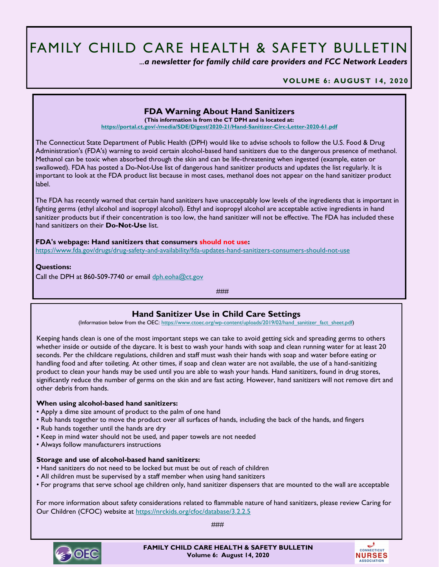# FAMILY CHILD CARE HEALTH & SAFETY BULLETIN

 *...a newsletter for family child care providers and FCC Network Leaders* 

**VOLUME 6: AUGUST 14, 2020**

## **FDA Warning About Hand Sanitizers**

**(This information is from the CT DPH and is located at:**

**<https://portal.ct.gov/-/media/SDE/Digest/2020-21/Hand-Sanitizer-Circ-Letter-2020-61.pdf>**

The Connecticut State Department of Public Health (DPH) would like to advise schools to follow the U.S. Food & Drug Administration's (FDA's) warning to avoid certain alcohol-based hand sanitizers due to the dangerous presence of methanol. Methanol can be toxic when absorbed through the skin and can be life-threatening when ingested (example, eaten or swallowed). FDA has posted a Do-Not-Use list of dangerous hand sanitizer products and updates the list regularly. It is important to look at the FDA product list because in most cases, methanol does not appear on the hand sanitizer product label.

The FDA has recently warned that certain hand sanitizers have unacceptably low levels of the ingredients that is important in fighting germs (ethyl alcohol and isopropyl alcohol). Ethyl and isopropyl alcohol are acceptable active ingredients in hand sanitizer products but if their concentration is too low, the hand sanitizer will not be effective. The FDA has included these hand sanitizers on their **Do-Not-Use** list.

**FDA's webpage: Hand sanitizers that consumers should not use:** <https://www.fda.gov/drugs/drug-safety-and-availability/fda-updates-hand-sanitizers-consumers-should-not-use>

**Questions:**

Call the DPH at 860-509-7740 or email [dph.eoha@ct.gov](mailto:dph.eoha@ct.gov)

###

## **Hand Sanitizer Use in Child Care Settings**

(Information below from the OEC: [https://www.ctoec.org/wp-content/uploads/2019/02/hand\\_sanitizer\\_fact\\_sheet.pdf\)](https://www.ctoec.org/wp-content/uploads/2019/02/hand_sanitizer_fact_sheet.pdf)

Keeping hands clean is one of the most important steps we can take to avoid getting sick and spreading germs to others whether inside or outside of the daycare. It is best to wash your hands with soap and clean running water for at least 20 seconds. Per the childcare regulations, children and staff must wash their hands with soap and water before eating or handling food and after toileting. At other times, if soap and clean water are not available, the use of a hand-sanitizing product to clean your hands may be used until you are able to wash your hands. Hand sanitizers, found in drug stores, significantly reduce the number of germs on the skin and are fast acting. However, hand sanitizers will not remove dirt and other debris from hands.

#### **When using alcohol-based hand sanitizers:**

- Apply a dime size amount of product to the palm of one hand
- Rub hands together to move the product over all surfaces of hands, including the back of the hands, and fingers
- Rub hands together until the hands are dry
- Keep in mind water should not be used, and paper towels are not needed
- Always follow manufacturers instructions

#### **Storage and use of alcohol-based hand sanitizers:**

- Hand sanitizers do not need to be locked but must be out of reach of children
- All children must be supervised by a staff member when using hand sanitizers
- For programs that serve school age children only, hand sanitizer dispensers that are mounted to the wall are acceptable

For more information about safety considerations related to flammable nature of hand sanitizers, please review Caring for Our Children (CFOC) website at <https://nrckids.org/cfoc/database/3.2.2.5>

###